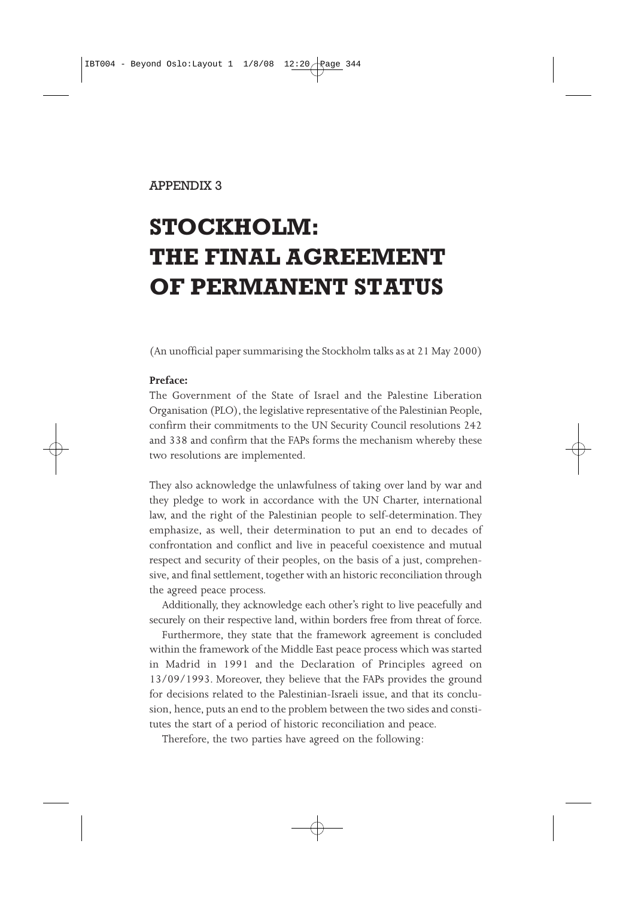## APPENDIX 3

# **STOCKHOLM: THE FINAL AGREEMENT OF PERMANENT STATUS**

(An unofficial paper summarising the Stockholm talks as at 21 May 2000)

### **Preface:**

The Government of the State of Israel and the Palestine Liberation Organisation (PLO), the legislative representative of the Palestinian People, confirm their commitments to the UN Security Council resolutions 242 and 338 and confirm that the FAPs forms the mechanism whereby these two resolutions are implemented.

They also acknowledge the unlawfulness of taking over land by war and they pledge to work in accordance with the UN Charter, international law, and the right of the Palestinian people to self-determination. They emphasize, as well, their determination to put an end to decades of confrontation and conflict and live in peaceful coexistence and mutual respect and security of their peoples, on the basis of a just, comprehensive, and final settlement, together with an historic reconciliation through the agreed peace process.

Additionally, they acknowledge each other's right to live peacefully and securely on their respective land, within borders free from threat of force.

Furthermore, they state that the framework agreement is concluded within the framework of the Middle East peace process which was started in Madrid in 1991 and the Declaration of Principles agreed on 13/09/1993. Moreover, they believe that the FAPs provides the ground for decisions related to the Palestinian-Israeli issue, and that its conclusion, hence, puts an end to the problem between the two sides and constitutes the start of a period of historic reconciliation and peace.

Therefore, the two parties have agreed on the following: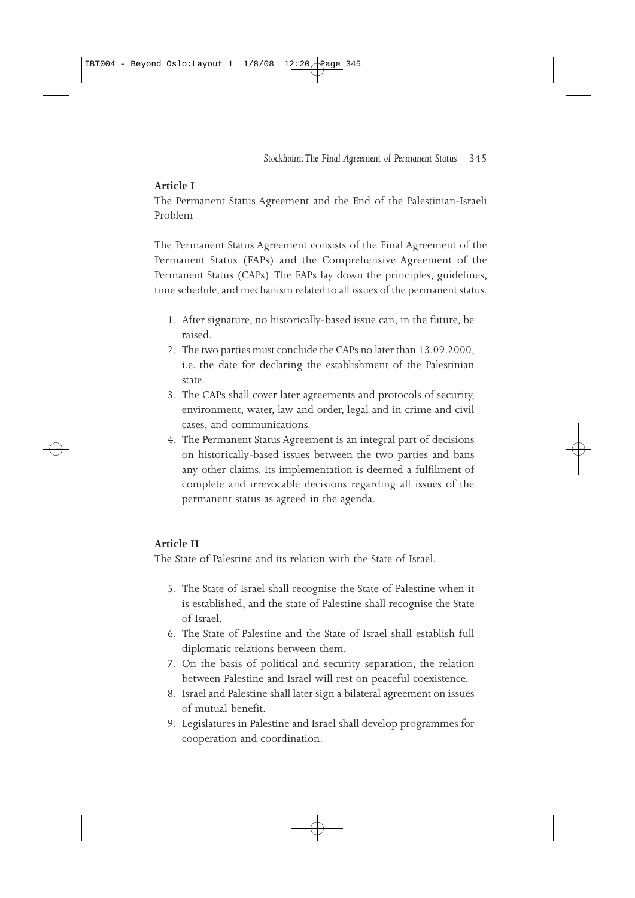# **Article I**

The Permanent Status Agreement and the End of the Palestinian-Israeli Problem

The Permanent Status Agreement consists of the Final Agreement of the Permanent Status (FAPs) and the Comprehensive Agreement of the Permanent Status (CAPs). The FAPs lay down the principles, guidelines, time schedule, and mechanism related to all issues of the permanent status.

- 1. After signature, no historically-based issue can, in the future, be raised.
- 2. The two parties must conclude the CAPs no later than 13.09.2000, i.e. the date for declaring the establishment of the Palestinian state.
- 3. The CAPs shall cover later agreements and protocols of security, environment, water, law and order, legal and in crime and civil cases, and communications.
- 4. The Permanent Status Agreement is an integral part of decisions on historically-based issues between the two parties and bans any other claims. Its implementation is deemed a fulfilment of complete and irrevocable decisions regarding all issues of the permanent status as agreed in the agenda.

# **Article II**

The State of Palestine and its relation with the State of Israel.

- 5. The State of Israel shall recognise the State of Palestine when it is established, and the state of Palestine shall recognise the State of Israel.
- 6. The State of Palestine and the State of Israel shall establish full diplomatic relations between them.
- 7. On the basis of political and security separation, the relation between Palestine and Israel will rest on peaceful coexistence.
- 8. Israel and Palestine shall later sign a bilateral agreement on issues of mutual benefit.
- 9. Legislatures in Palestine and Israel shall develop programmes for cooperation and coordination.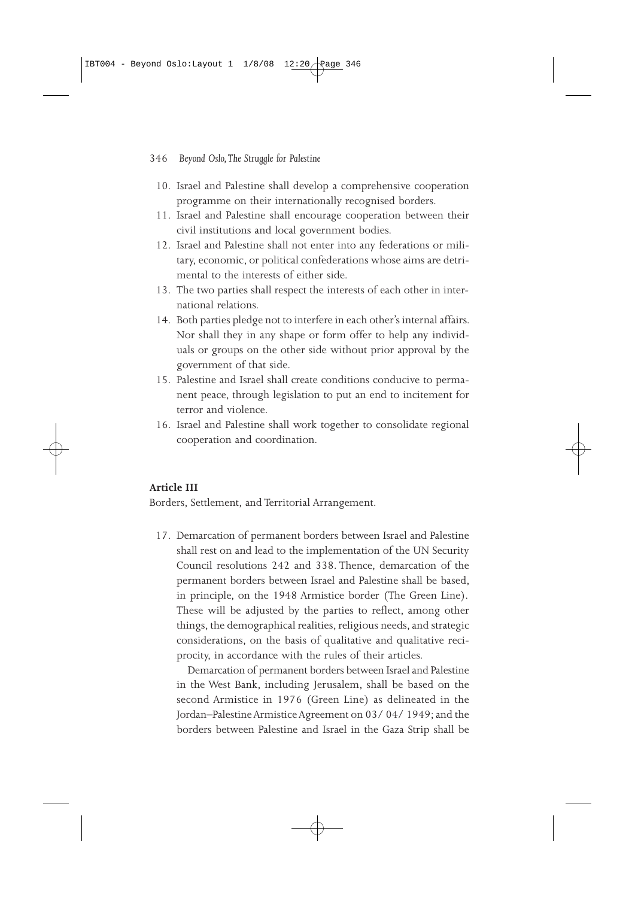#### 346 *Beyond Oslo, The Struggle for Palestine*

- 10. Israel and Palestine shall develop a comprehensive cooperation programme on their internationally recognised borders.
- 11. Israel and Palestine shall encourage cooperation between their civil institutions and local government bodies.
- 12. Israel and Palestine shall not enter into any federations or military, economic, or political confederations whose aims are detrimental to the interests of either side.
- 13. The two parties shall respect the interests of each other in international relations.
- 14. Both parties pledge not to interfere in each other's internal affairs. Nor shall they in any shape or form offer to help any individuals or groups on the other side without prior approval by the government of that side.
- 15. Palestine and Israel shall create conditions conducive to permanent peace, through legislation to put an end to incitement for terror and violence.
- 16. Israel and Palestine shall work together to consolidate regional cooperation and coordination.

#### **Article III**

Borders, Settlement, and Territorial Arrangement.

17. Demarcation of permanent borders between Israel and Palestine shall rest on and lead to the implementation of the UN Security Council resolutions 242 and 338. Thence, demarcation of the permanent borders between Israel and Palestine shall be based, in principle, on the 1948 Armistice border (The Green Line). These will be adjusted by the parties to reflect, among other things, the demographical realities, religious needs, and strategic considerations, on the basis of qualitative and qualitative reciprocity, in accordance with the rules of their articles.

Demarcation of permanent borders between Israel and Palestine in the West Bank, including Jerusalem, shall be based on the second Armistice in 1976 (Green Line) as delineated in the Jordan–Palestine Armistice Agreement on 03/ 04/ 1949; and the borders between Palestine and Israel in the Gaza Strip shall be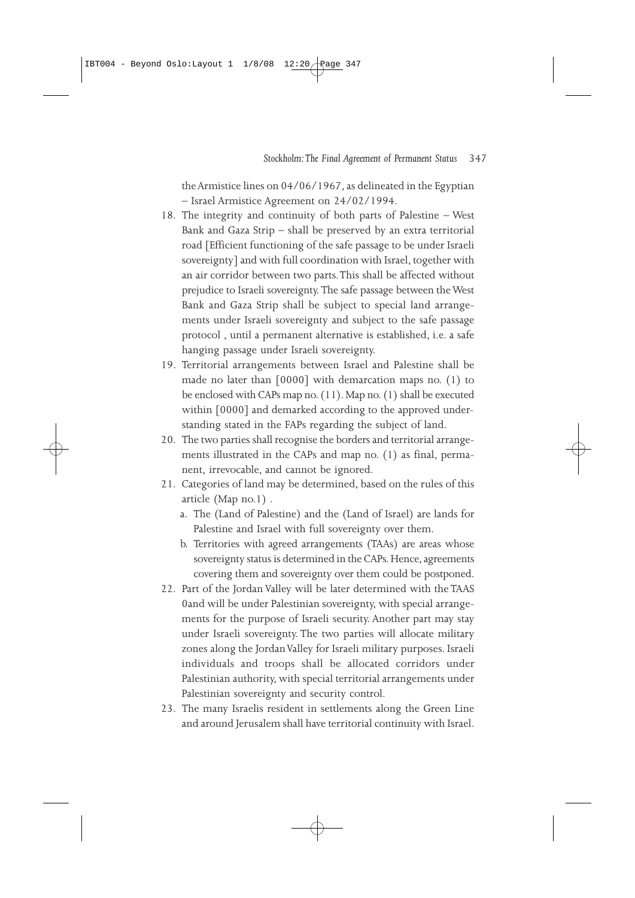the Armistice lines on 04/06/1967, as delineated in the Egyptian – Israel Armistice Agreement on 24/02/1994.

- 18. The integrity and continuity of both parts of Palestine West Bank and Gaza Strip – shall be preserved by an extra territorial road [Efficient functioning of the safe passage to be under Israeli sovereignty] and with full coordination with Israel, together with an air corridor between two parts. This shall be affected without prejudice to Israeli sovereignty. The safe passage between the West Bank and Gaza Strip shall be subject to special land arrangements under Israeli sovereignty and subject to the safe passage protocol , until a permanent alternative is established, i.e. a safe hanging passage under Israeli sovereignty.
- 19. Territorial arrangements between Israel and Palestine shall be made no later than [0000] with demarcation maps no. (1) to be enclosed with CAPs map no. (11). Map no. (1) shall be executed within [0000] and demarked according to the approved understanding stated in the FAPs regarding the subject of land.
- 20. The two parties shall recognise the borders and territorial arrangements illustrated in the CAPs and map no. (1) as final, permanent, irrevocable, and cannot be ignored.
- 21. Categories of land may be determined, based on the rules of this article (Map no.1) .
	- a. The (Land of Palestine) and the (Land of Israel) are lands for Palestine and Israel with full sovereignty over them.
	- b. Territories with agreed arrangements (TAAs) are areas whose sovereignty status is determined in the CAPs. Hence, agreements covering them and sovereignty over them could be postponed.
- 22. Part of the Jordan Valley will be later determined with the TAAS 0and will be under Palestinian sovereignty, with special arrangements for the purpose of Israeli security. Another part may stay under Israeli sovereignty. The two parties will allocate military zones along the Jordan Valley for Israeli military purposes. Israeli individuals and troops shall be allocated corridors under Palestinian authority, with special territorial arrangements under Palestinian sovereignty and security control.
- 23. The many Israelis resident in settlements along the Green Line and around Jerusalem shall have territorial continuity with Israel.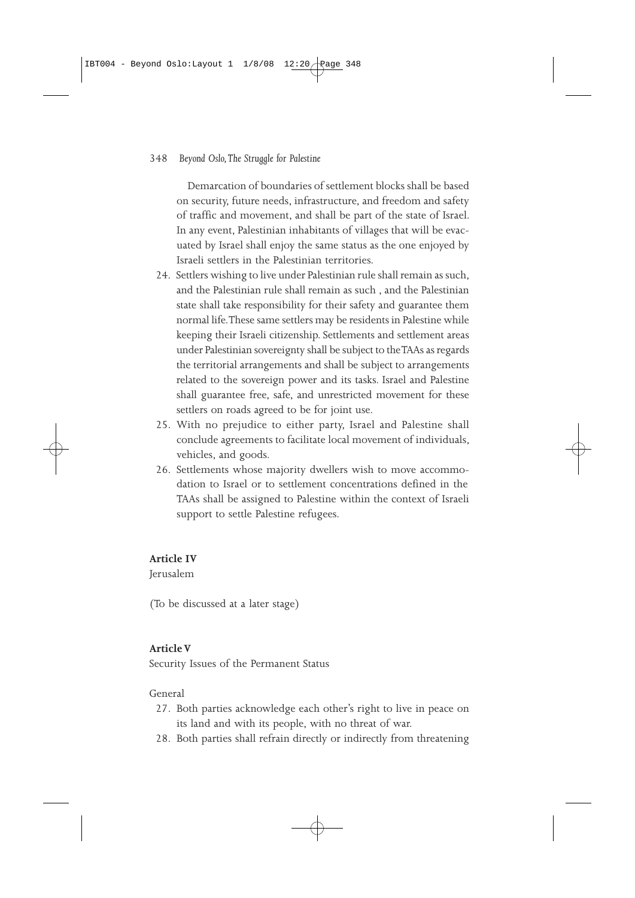#### 348 *Beyond Oslo, The Struggle for Palestine*

Demarcation of boundaries of settlement blocks shall be based on security, future needs, infrastructure, and freedom and safety of traffic and movement, and shall be part of the state of Israel. In any event, Palestinian inhabitants of villages that will be evacuated by Israel shall enjoy the same status as the one enjoyed by Israeli settlers in the Palestinian territories.

- 24. Settlers wishing to live under Palestinian rule shall remain as such, and the Palestinian rule shall remain as such , and the Palestinian state shall take responsibility for their safety and guarantee them normal life. These same settlers may be residents in Palestine while keeping their Israeli citizenship. Settlements and settlement areas under Palestinian sovereignty shall be subject to the TAAs as regards the territorial arrangements and shall be subject to arrangements related to the sovereign power and its tasks. Israel and Palestine shall guarantee free, safe, and unrestricted movement for these settlers on roads agreed to be for joint use.
- 25. With no prejudice to either party, Israel and Palestine shall conclude agreements to facilitate local movement of individuals, vehicles, and goods.
- 26. Settlements whose majority dwellers wish to move accommodation to Israel or to settlement concentrations defined in the TAAs shall be assigned to Palestine within the context of Israeli support to settle Palestine refugees.

# **Article IV**

Jerusalem

(To be discussed at a later stage)

#### **Article V**

Security Issues of the Permanent Status

#### General

- 27. Both parties acknowledge each other's right to live in peace on its land and with its people, with no threat of war.
- 28. Both parties shall refrain directly or indirectly from threatening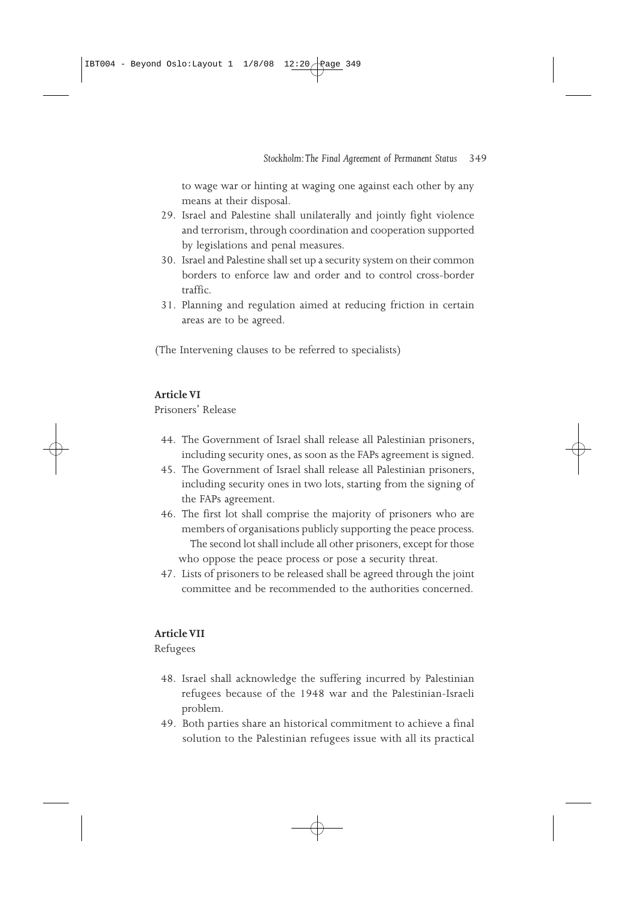to wage war or hinting at waging one against each other by any means at their disposal.

- 29. Israel and Palestine shall unilaterally and jointly fight violence and terrorism, through coordination and cooperation supported by legislations and penal measures.
- 30. Israel and Palestine shall set up a security system on their common borders to enforce law and order and to control cross-border traffic.
- 31. Planning and regulation aimed at reducing friction in certain areas are to be agreed.

(The Intervening clauses to be referred to specialists)

## **Article VI**

Prisoners' Release

- 44. The Government of Israel shall release all Palestinian prisoners, including security ones, as soon as the FAPs agreement is signed.
- 45. The Government of Israel shall release all Palestinian prisoners, including security ones in two lots, starting from the signing of the FAPs agreement.
- 46. The first lot shall comprise the majority of prisoners who are members of organisations publicly supporting the peace process. The second lot shall include all other prisoners, except for those who oppose the peace process or pose a security threat.
- 47. Lists of prisoners to be released shall be agreed through the joint committee and be recommended to the authorities concerned.

## **Article VII**

Refugees

- 48. Israel shall acknowledge the suffering incurred by Palestinian refugees because of the 1948 war and the Palestinian-Israeli problem.
- 49. Both parties share an historical commitment to achieve a final solution to the Palestinian refugees issue with all its practical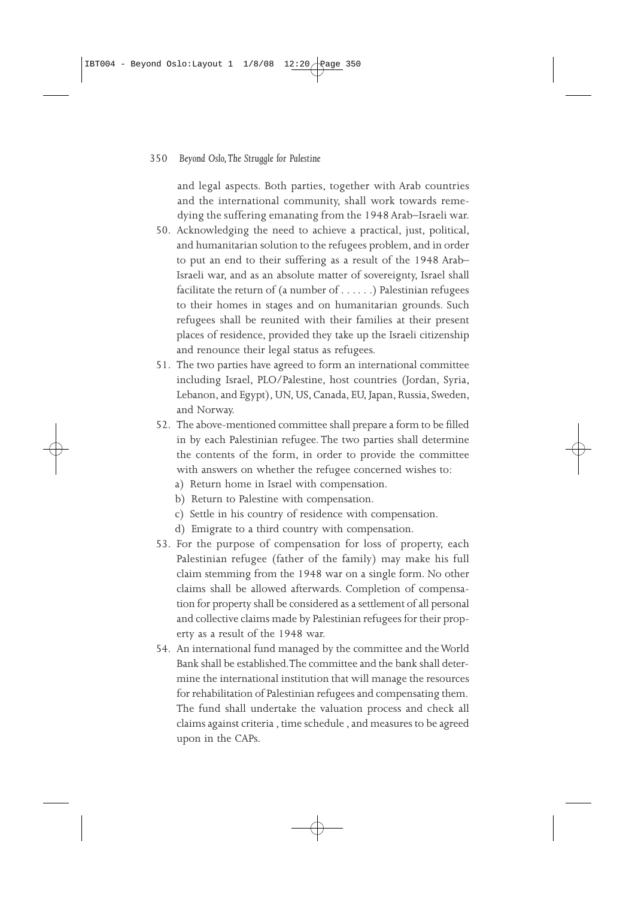and legal aspects. Both parties, together with Arab countries and the international community, shall work towards remedying the suffering emanating from the 1948 Arab–Israeli war.

- 50. Acknowledging the need to achieve a practical, just, political, and humanitarian solution to the refugees problem, and in order to put an end to their suffering as a result of the 1948 Arab– Israeli war, and as an absolute matter of sovereignty, Israel shall facilitate the return of (a number of . . . . . .) Palestinian refugees to their homes in stages and on humanitarian grounds. Such refugees shall be reunited with their families at their present places of residence, provided they take up the Israeli citizenship and renounce their legal status as refugees.
- 51. The two parties have agreed to form an international committee including Israel, PLO/Palestine, host countries (Jordan, Syria, Lebanon, and Egypt), UN, US, Canada, EU, Japan, Russia, Sweden, and Norway.
- 52. The above-mentioned committee shall prepare a form to be filled in by each Palestinian refugee. The two parties shall determine the contents of the form, in order to provide the committee with answers on whether the refugee concerned wishes to:
	- a) Return home in Israel with compensation.
	- b) Return to Palestine with compensation.
	- c) Settle in his country of residence with compensation.
	- d) Emigrate to a third country with compensation.
- 53. For the purpose of compensation for loss of property, each Palestinian refugee (father of the family) may make his full claim stemming from the 1948 war on a single form. No other claims shall be allowed afterwards. Completion of compensation for property shall be considered as a settlement of all personal and collective claims made by Palestinian refugees for their property as a result of the 1948 war.
- 54. An international fund managed by the committee and the World Bank shall be established. The committee and the bank shall determine the international institution that will manage the resources for rehabilitation of Palestinian refugees and compensating them. The fund shall undertake the valuation process and check all claims against criteria , time schedule , and measures to be agreed upon in the CAPs.